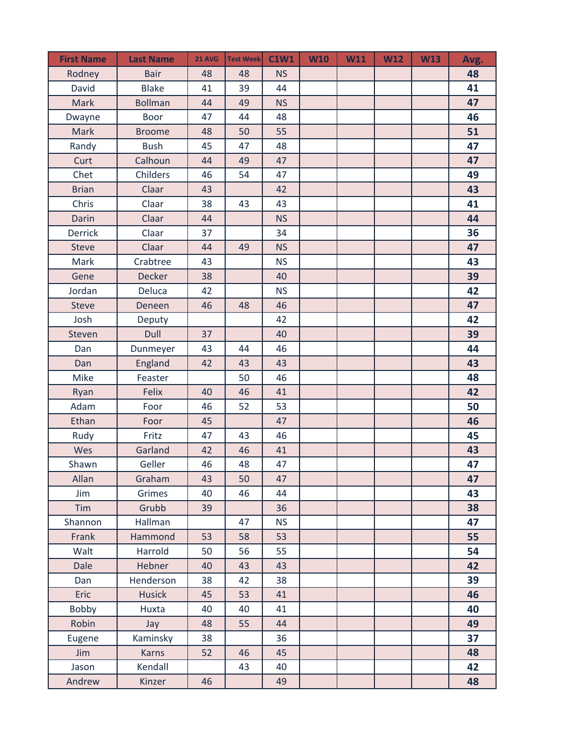| <b>First Name</b> | <b>Last Name</b> | <b>21 AVG</b> | <b>Test Week</b> | <b>C1W1</b> | <b>W10</b> | W11 | <b>W12</b> | <b>W13</b> | Avg. |
|-------------------|------------------|---------------|------------------|-------------|------------|-----|------------|------------|------|
| Rodney            | <b>Bair</b>      | 48            | 48               | <b>NS</b>   |            |     |            |            | 48   |
| David             | <b>Blake</b>     | 41            | 39               | 44          |            |     |            |            | 41   |
| <b>Mark</b>       | <b>Bollman</b>   | 44            | 49               | <b>NS</b>   |            |     |            |            | 47   |
| Dwayne            | <b>Boor</b>      | 47            | 44               | 48          |            |     |            |            | 46   |
| Mark              | <b>Broome</b>    | 48            | 50               | 55          |            |     |            |            | 51   |
| Randy             | <b>Bush</b>      | 45            | 47               | 48          |            |     |            |            | 47   |
| Curt              | Calhoun          | 44            | 49               | 47          |            |     |            |            | 47   |
| Chet              | Childers         | 46            | 54               | 47          |            |     |            |            | 49   |
| <b>Brian</b>      | Claar            | 43            |                  | 42          |            |     |            |            | 43   |
| Chris             | Claar            | 38            | 43               | 43          |            |     |            |            | 41   |
| Darin             | Claar            | 44            |                  | <b>NS</b>   |            |     |            |            | 44   |
| <b>Derrick</b>    | Claar            | 37            |                  | 34          |            |     |            |            | 36   |
| <b>Steve</b>      | Claar            | 44            | 49               | <b>NS</b>   |            |     |            |            | 47   |
| Mark              | Crabtree         | 43            |                  | <b>NS</b>   |            |     |            |            | 43   |
| Gene              | <b>Decker</b>    | 38            |                  | 40          |            |     |            |            | 39   |
| Jordan            | Deluca           | 42            |                  | <b>NS</b>   |            |     |            |            | 42   |
| <b>Steve</b>      | Deneen           | 46            | 48               | 46          |            |     |            |            | 47   |
| Josh              | Deputy           |               |                  | 42          |            |     |            |            | 42   |
| Steven            | Dull             | 37            |                  | 40          |            |     |            |            | 39   |
| Dan               | Dunmeyer         | 43            | 44               | 46          |            |     |            |            | 44   |
| Dan               | England          | 42            | 43               | 43          |            |     |            |            | 43   |
| Mike              | Feaster          |               | 50               | 46          |            |     |            |            | 48   |
| Ryan              | <b>Felix</b>     | 40            | 46               | 41          |            |     |            |            | 42   |
| Adam              | Foor             | 46            | 52               | 53          |            |     |            |            | 50   |
| Ethan             | Foor             | 45            |                  | 47          |            |     |            |            | 46   |
| Rudy              | Fritz            | 47            | 43               | 46          |            |     |            |            | 45   |
| Wes               | Garland          | 42            | 46               | 41          |            |     |            |            | 43   |
| Shawn             | Geller           | 46            | 48               | 47          |            |     |            |            | 47   |
| Allan             | Graham           | 43            | 50               | 47          |            |     |            |            | 47   |
| Jim               | Grimes           | 40            | 46               | 44          |            |     |            |            | 43   |
| Tim               | Grubb            | 39            |                  | 36          |            |     |            |            | 38   |
| Shannon           | Hallman          |               | 47               | <b>NS</b>   |            |     |            |            | 47   |
| Frank             | Hammond          | 53            | 58               | 53          |            |     |            |            | 55   |
| Walt              | Harrold          | 50            | 56               | 55          |            |     |            |            | 54   |
| <b>Dale</b>       | Hebner           | 40            | 43               | 43          |            |     |            |            | 42   |
| Dan               | Henderson        | 38            | 42               | 38          |            |     |            |            | 39   |
| Eric              | <b>Husick</b>    | 45            | 53               | 41          |            |     |            |            | 46   |
| Bobby             | Huxta            | 40            | 40               | 41          |            |     |            |            | 40   |
| Robin             | Jay              | 48            | 55               | 44          |            |     |            |            | 49   |
| Eugene            | Kaminsky         | 38            |                  | 36          |            |     |            |            | 37   |
| Jim               | <b>Karns</b>     | 52            | 46               | 45          |            |     |            |            | 48   |
| Jason             | Kendall          |               | 43               | 40          |            |     |            |            | 42   |
| Andrew            | Kinzer           | 46            |                  | 49          |            |     |            |            | 48   |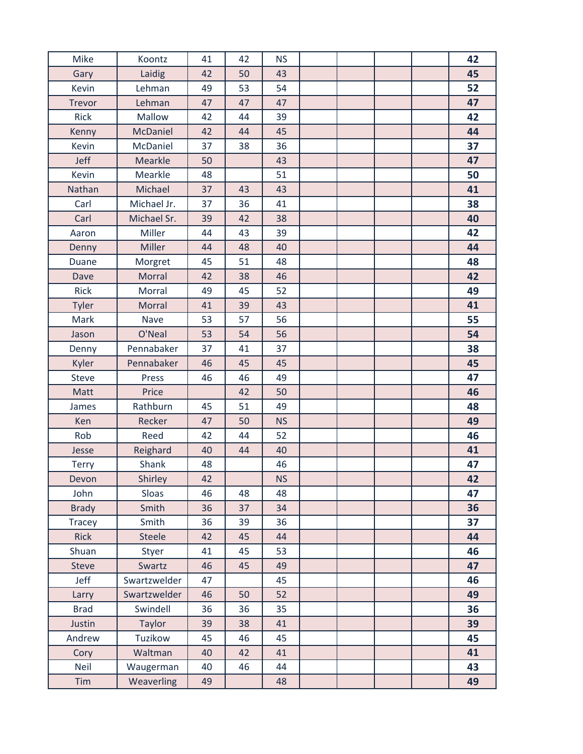| Mike          | Koontz        | 41 | 42 | <b>NS</b> |  |  | 42 |
|---------------|---------------|----|----|-----------|--|--|----|
| Gary          | Laidig        | 42 | 50 | 43        |  |  | 45 |
| Kevin         | Lehman        | 49 | 53 | 54        |  |  | 52 |
| <b>Trevor</b> | Lehman        | 47 | 47 | 47        |  |  | 47 |
| Rick          | Mallow        | 42 | 44 | 39        |  |  | 42 |
| Kenny         | McDaniel      | 42 | 44 | 45        |  |  | 44 |
| Kevin         | McDaniel      | 37 | 38 | 36        |  |  | 37 |
| Jeff          | Mearkle       | 50 |    | 43        |  |  | 47 |
| Kevin         | Mearkle       | 48 |    | 51        |  |  | 50 |
| Nathan        | Michael       | 37 | 43 | 43        |  |  | 41 |
| Carl          | Michael Jr.   | 37 | 36 | 41        |  |  | 38 |
| Carl          | Michael Sr.   | 39 | 42 | 38        |  |  | 40 |
| Aaron         | Miller        | 44 | 43 | 39        |  |  | 42 |
| Denny         | <b>Miller</b> | 44 | 48 | 40        |  |  | 44 |
| Duane         | Morgret       | 45 | 51 | 48        |  |  | 48 |
| Dave          | <b>Morral</b> | 42 | 38 | 46        |  |  | 42 |
| Rick          | Morral        | 49 | 45 | 52        |  |  | 49 |
| <b>Tyler</b>  | <b>Morral</b> | 41 | 39 | 43        |  |  | 41 |
| Mark          | Nave          | 53 | 57 | 56        |  |  | 55 |
| Jason         | O'Neal        | 53 | 54 | 56        |  |  | 54 |
| Denny         | Pennabaker    | 37 | 41 | 37        |  |  | 38 |
| Kyler         | Pennabaker    | 46 | 45 | 45        |  |  | 45 |
| Steve         | Press         | 46 | 46 | 49        |  |  | 47 |
| Matt          | Price         |    | 42 | 50        |  |  | 46 |
| James         | Rathburn      | 45 | 51 | 49        |  |  | 48 |
| Ken           | Recker        | 47 | 50 | <b>NS</b> |  |  | 49 |
| Rob           | Reed          | 42 | 44 | 52        |  |  | 46 |
| Jesse         | Reighard      | 40 | 44 | 40        |  |  | 41 |
| Terry         | Shank         | 48 |    | 46        |  |  | 47 |
| Devon         | Shirley       | 42 |    | <b>NS</b> |  |  | 42 |
| John          | Sloas         | 46 | 48 | 48        |  |  | 47 |
| <b>Brady</b>  | Smith         | 36 | 37 | 34        |  |  | 36 |
| <b>Tracey</b> | Smith         | 36 | 39 | 36        |  |  | 37 |
| <b>Rick</b>   | <b>Steele</b> | 42 | 45 | 44        |  |  | 44 |
| Shuan         | Styer         | 41 | 45 | 53        |  |  | 46 |
| <b>Steve</b>  | Swartz        | 46 | 45 | 49        |  |  | 47 |
| Jeff          | Swartzwelder  | 47 |    | 45        |  |  | 46 |
| Larry         | Swartzwelder  | 46 | 50 | 52        |  |  | 49 |
| <b>Brad</b>   | Swindell      | 36 | 36 | 35        |  |  | 36 |
| Justin        | <b>Taylor</b> | 39 | 38 | 41        |  |  | 39 |
| Andrew        | Tuzikow       | 45 | 46 | 45        |  |  | 45 |
| Cory          | Waltman       | 40 | 42 | 41        |  |  | 41 |
| Neil          | Waugerman     | 40 | 46 | 44        |  |  | 43 |
| Tim           | Weaverling    | 49 |    | 48        |  |  | 49 |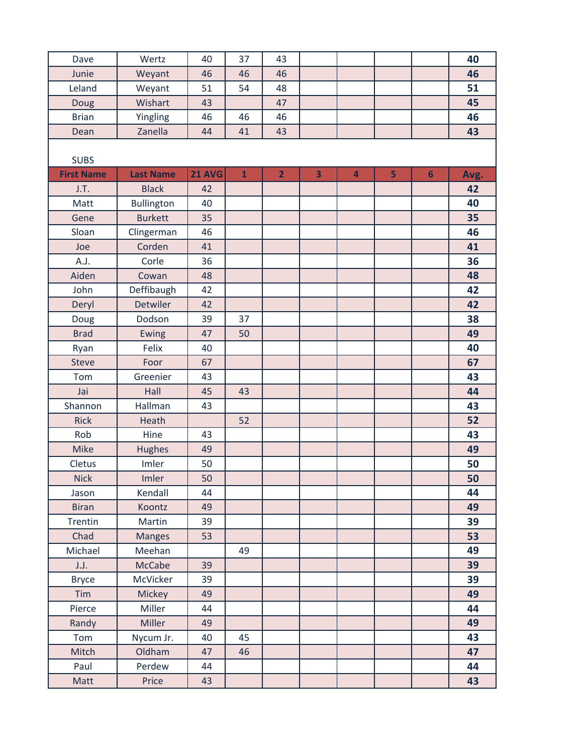| Dave              | Wertz             | 40            | 37           | 43             |                         |                |   |                | 40   |
|-------------------|-------------------|---------------|--------------|----------------|-------------------------|----------------|---|----------------|------|
| Junie             | Weyant            | 46            | 46           | 46             |                         |                |   |                | 46   |
| Leland            | Weyant            | 51            | 54           | 48             |                         |                |   |                | 51   |
| Doug              | Wishart           | 43            |              | 47             |                         |                |   |                | 45   |
| <b>Brian</b>      | Yingling          | 46            | 46           | 46             |                         |                |   |                | 46   |
| Dean              | Zanella           | 44            | 41           | 43             |                         |                |   |                | 43   |
|                   |                   |               |              |                |                         |                |   |                |      |
| <b>SUBS</b>       |                   |               |              |                |                         |                |   |                |      |
| <b>First Name</b> | <b>Last Name</b>  | <b>21 AVG</b> | $\mathbf{1}$ | $\overline{2}$ | $\overline{\mathbf{3}}$ | $\overline{4}$ | 5 | $6\phantom{1}$ | Avg. |
| J.T.              | <b>Black</b>      | 42            |              |                |                         |                |   |                | 42   |
| Matt              | <b>Bullington</b> | 40            |              |                |                         |                |   |                | 40   |
| Gene              | <b>Burkett</b>    | 35            |              |                |                         |                |   |                | 35   |
| Sloan             | Clingerman        | 46            |              |                |                         |                |   |                | 46   |
| Joe               | Corden            | 41            |              |                |                         |                |   |                | 41   |
| A.J.              | Corle             | 36            |              |                |                         |                |   |                | 36   |
| Aiden             | Cowan             | 48            |              |                |                         |                |   |                | 48   |
| John              | Deffibaugh        | 42            |              |                |                         |                |   |                | 42   |
| Deryl             | Detwiler          | 42            |              |                |                         |                |   |                | 42   |
| Doug              | Dodson            | 39            | 37           |                |                         |                |   |                | 38   |
| <b>Brad</b>       | Ewing             | 47            | 50           |                |                         |                |   |                | 49   |
| Ryan              | Felix             | 40            |              |                |                         |                |   |                | 40   |
| <b>Steve</b>      | Foor              | 67            |              |                |                         |                |   |                | 67   |
| Tom               | Greenier          | 43            |              |                |                         |                |   |                | 43   |
| Jai               | Hall              | 45            | 43           |                |                         |                |   |                | 44   |
| Shannon           | Hallman           | 43            |              |                |                         |                |   |                | 43   |
| <b>Rick</b>       | Heath             |               | 52           |                |                         |                |   |                | 52   |
| Rob               | Hine              | 43            |              |                |                         |                |   |                | 43   |
| <b>Mike</b>       | <b>Hughes</b>     | 49            |              |                |                         |                |   |                | 49   |
| Cletus            | Imler             | 50            |              |                |                         |                |   |                | 50   |
| <b>Nick</b>       | Imler             | 50            |              |                |                         |                |   |                | 50   |
| Jason             | Kendall           | 44            |              |                |                         |                |   |                | 44   |
| <b>Biran</b>      | Koontz            | 49            |              |                |                         |                |   |                | 49   |
| Trentin           | Martin            | 39            |              |                |                         |                |   |                | 39   |
| Chad              | <b>Manges</b>     | 53            |              |                |                         |                |   |                | 53   |
| Michael           | Meehan            |               | 49           |                |                         |                |   |                | 49   |
| J.J.              | McCabe            | 39            |              |                |                         |                |   |                | 39   |
| <b>Bryce</b>      | McVicker          | 39            |              |                |                         |                |   |                | 39   |
| Tim               | Mickey            | 49            |              |                |                         |                |   |                | 49   |
| Pierce            | Miller            | 44            |              |                |                         |                |   |                | 44   |
| Randy             | <b>Miller</b>     | 49            |              |                |                         |                |   |                | 49   |
| Tom               | Nycum Jr.         | 40            | 45           |                |                         |                |   |                | 43   |
| Mitch             | Oldham            | 47            | 46           |                |                         |                |   |                | 47   |
| Paul              | Perdew            | 44            |              |                |                         |                |   |                | 44   |
| Matt              | Price             | 43            |              |                |                         |                |   |                | 43   |
|                   |                   |               |              |                |                         |                |   |                |      |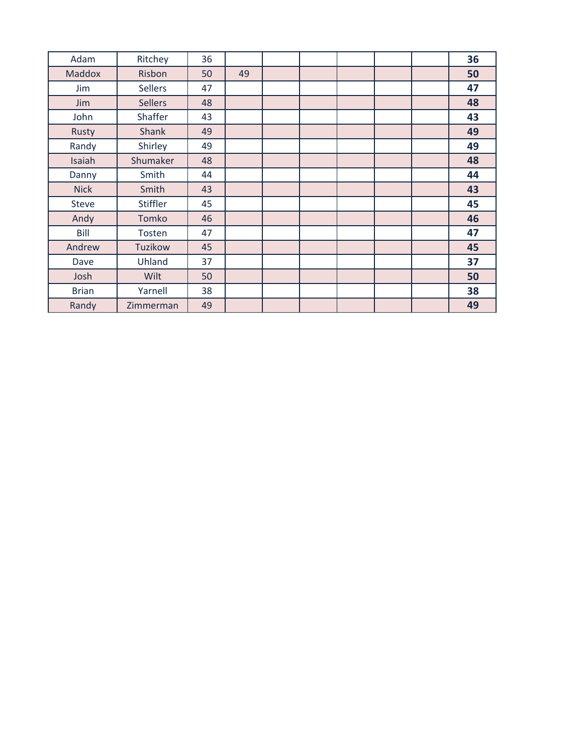| Adam         | Ritchey        | 36 |    |  |  | 36 |
|--------------|----------------|----|----|--|--|----|
| Maddox       | Risbon         | 50 | 49 |  |  | 50 |
| Jim          | <b>Sellers</b> | 47 |    |  |  | 47 |
| Jim          | <b>Sellers</b> | 48 |    |  |  | 48 |
| John         | Shaffer        | 43 |    |  |  | 43 |
| Rusty        | <b>Shank</b>   | 49 |    |  |  | 49 |
| Randy        | Shirley        | 49 |    |  |  | 49 |
| Isaiah       | Shumaker       | 48 |    |  |  | 48 |
| Danny        | Smith          | 44 |    |  |  | 44 |
| <b>Nick</b>  | Smith          | 43 |    |  |  | 43 |
| <b>Steve</b> | Stiffler       | 45 |    |  |  | 45 |
| Andy         | Tomko          | 46 |    |  |  | 46 |
| Bill         | Tosten         | 47 |    |  |  | 47 |
| Andrew       | Tuzikow        | 45 |    |  |  | 45 |
| Dave         | Uhland         | 37 |    |  |  | 37 |
| Josh         | Wilt           | 50 |    |  |  | 50 |
| <b>Brian</b> | Yarnell        | 38 |    |  |  | 38 |
| Randy        | Zimmerman      | 49 |    |  |  | 49 |